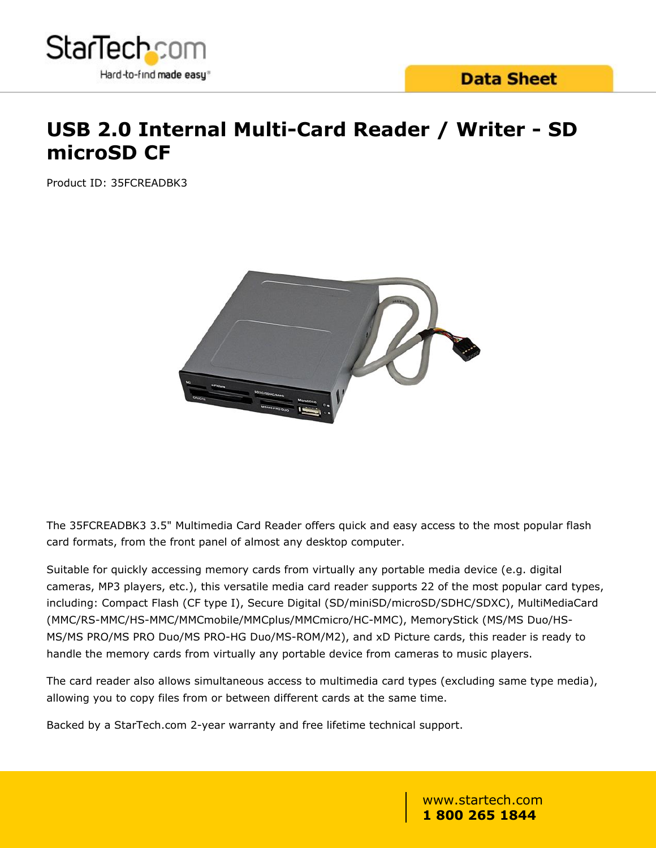

# **USB 2.0 Internal Multi-Card Reader / Writer - SD microSD CF**

Product ID: 35FCREADBK3



The 35FCREADBK3 3.5" Multimedia Card Reader offers quick and easy access to the most popular flash card formats, from the front panel of almost any desktop computer.

Suitable for quickly accessing memory cards from virtually any portable media device (e.g. digital cameras, MP3 players, etc.), this versatile media card reader supports 22 of the most popular card types, including: Compact Flash (CF type I), Secure Digital (SD/miniSD/microSD/SDHC/SDXC), MultiMediaCard (MMC/RS-MMC/HS-MMC/MMCmobile/MMCplus/MMCmicro/HC-MMC), MemoryStick (MS/MS Duo/HS-MS/MS PRO/MS PRO Duo/MS PRO-HG Duo/MS-ROM/M2), and xD Picture cards, this reader is ready to handle the memory cards from virtually any portable device from cameras to music players.

The card reader also allows simultaneous access to multimedia card types (excluding same type media), allowing you to copy files from or between different cards at the same time.

Backed by a StarTech.com 2-year warranty and free lifetime technical support.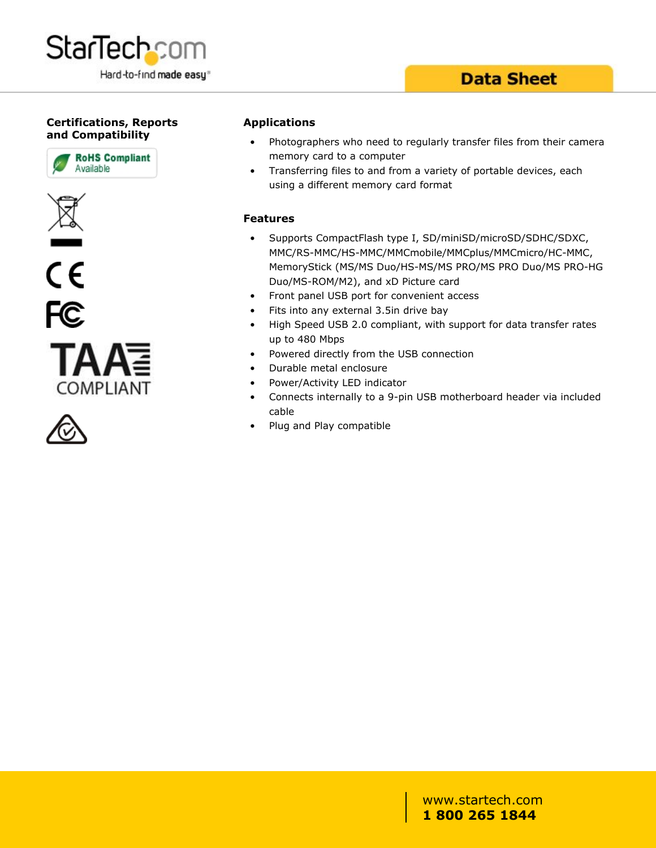

## **Data Sheet**

### **Certifications, Reports and Compatibility**











#### **Applications**

- Photographers who need to regularly transfer files from their camera memory card to a computer
- Transferring files to and from a variety of portable devices, each using a different memory card format

#### **Features**

- Supports CompactFlash type I, SD/miniSD/microSD/SDHC/SDXC, MMC/RS-MMC/HS-MMC/MMCmobile/MMCplus/MMCmicro/HC-MMC, MemoryStick (MS/MS Duo/HS-MS/MS PRO/MS PRO Duo/MS PRO-HG Duo/MS-ROM/M2), and xD Picture card
- Front panel USB port for convenient access
- Fits into any external 3.5in drive bay
- High Speed USB 2.0 compliant, with support for data transfer rates up to 480 Mbps
- Powered directly from the USB connection
- Durable metal enclosure
- Power/Activity LED indicator
- Connects internally to a 9-pin USB motherboard header via included cable that the contract of the contract of the contract of the contract of the contract of the contract of the
- Plug and Play compatible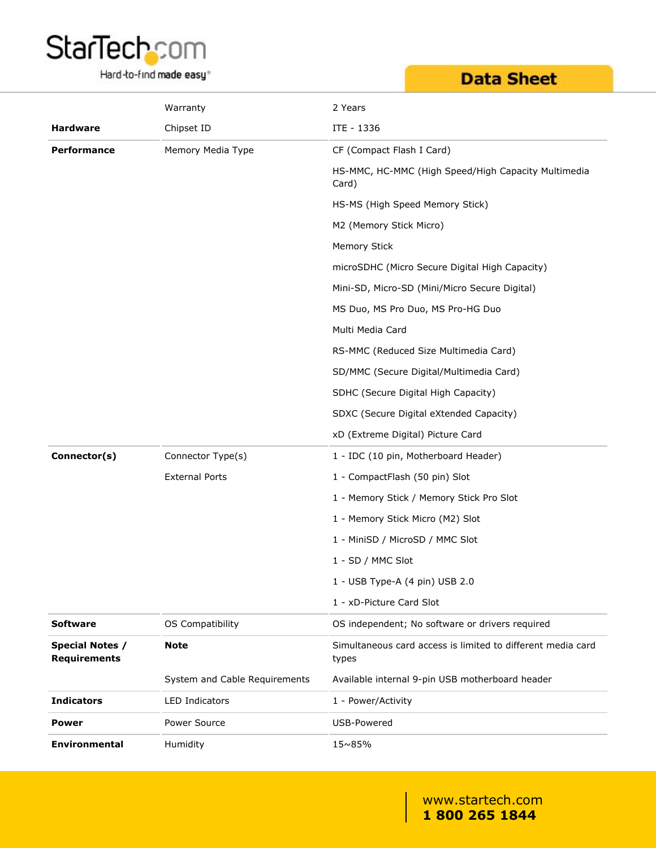

### Hard-to-find made easy<sup>®</sup>

# **Data Sheet**

|                                               | Warranty                      | 2 Years                                                              |
|-----------------------------------------------|-------------------------------|----------------------------------------------------------------------|
| <b>Hardware</b>                               | Chipset ID                    | ITE - 1336                                                           |
| Performance                                   | Memory Media Type             | CF (Compact Flash I Card)                                            |
|                                               |                               | HS-MMC, HC-MMC (High Speed/High Capacity Multimedia<br>Card)         |
|                                               |                               | HS-MS (High Speed Memory Stick)                                      |
|                                               |                               | M2 (Memory Stick Micro)                                              |
|                                               |                               | <b>Memory Stick</b>                                                  |
|                                               |                               | microSDHC (Micro Secure Digital High Capacity)                       |
|                                               |                               | Mini-SD, Micro-SD (Mini/Micro Secure Digital)                        |
|                                               |                               | MS Duo, MS Pro Duo, MS Pro-HG Duo                                    |
|                                               |                               | Multi Media Card                                                     |
|                                               |                               | RS-MMC (Reduced Size Multimedia Card)                                |
|                                               |                               | SD/MMC (Secure Digital/Multimedia Card)                              |
|                                               |                               | SDHC (Secure Digital High Capacity)                                  |
|                                               |                               | SDXC (Secure Digital eXtended Capacity)                              |
|                                               |                               | xD (Extreme Digital) Picture Card                                    |
| Connector(s)                                  | Connector Type(s)             | 1 - IDC (10 pin, Motherboard Header)                                 |
|                                               | <b>External Ports</b>         | 1 - CompactFlash (50 pin) Slot                                       |
|                                               |                               | 1 - Memory Stick / Memory Stick Pro Slot                             |
|                                               |                               | 1 - Memory Stick Micro (M2) Slot                                     |
|                                               |                               | 1 - MiniSD / MicroSD / MMC Slot                                      |
|                                               |                               | 1 - SD / MMC Slot                                                    |
|                                               |                               | 1 - USB Type-A (4 pin) USB 2.0                                       |
|                                               |                               | 1 - xD-Picture Card Slot                                             |
| <b>Software</b>                               | OS Compatibility              | OS independent; No software or drivers required                      |
| <b>Special Notes /</b><br><b>Requirements</b> | <b>Note</b>                   | Simultaneous card access is limited to different media card<br>types |
|                                               | System and Cable Requirements | Available internal 9-pin USB motherboard header                      |
| <b>Indicators</b>                             | LED Indicators                | 1 - Power/Activity                                                   |
| <b>Power</b>                                  | Power Source                  | USB-Powered                                                          |
| <b>Environmental</b>                          | Humidity                      | 15~85%                                                               |